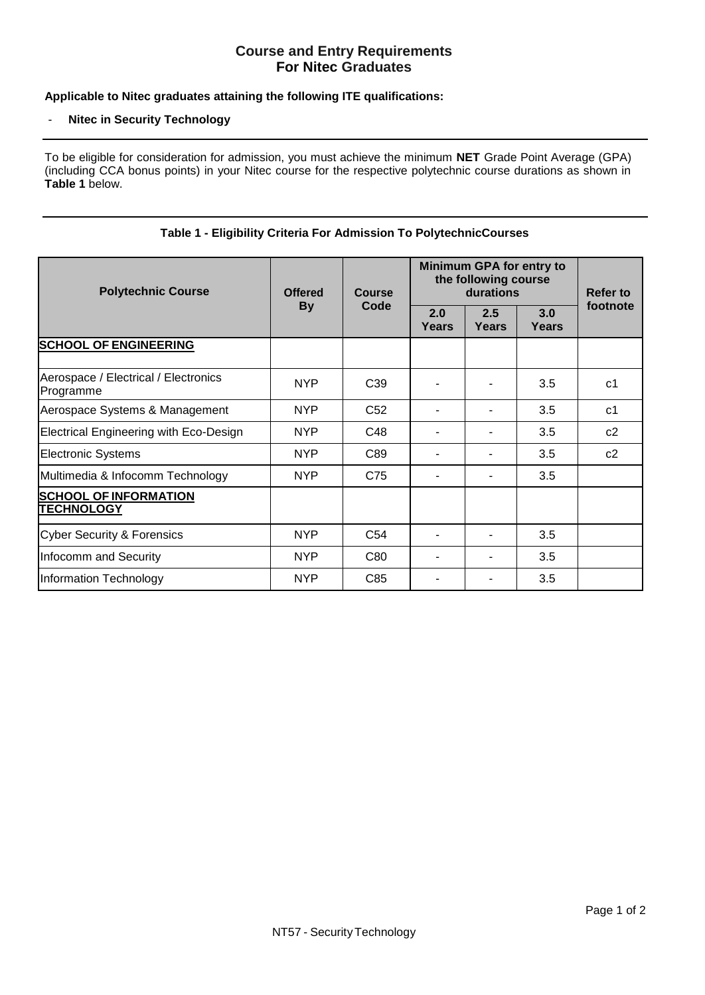# **Course and Entry Requirements For Nitec Graduates**

## **Applicable to Nitec graduates attaining the following ITE qualifications:**

#### - **Nitec in Security Technology**

To be eligible for consideration for admission, you must achieve the minimum **NET** Grade Point Average (GPA) (including CCA bonus points) in your Nitec course for the respective polytechnic course durations as shown in **Table 1** below.

| <b>Polytechnic Course</b>                         | <b>Offered</b><br><b>By</b> | <b>Course</b><br>Code | <b>Minimum GPA for entry to</b><br>the following course<br>durations |              |                     | Refer to       |
|---------------------------------------------------|-----------------------------|-----------------------|----------------------------------------------------------------------|--------------|---------------------|----------------|
|                                                   |                             |                       | 2.0<br><b>Years</b>                                                  | 2.5<br>Years | 3.0<br><b>Years</b> | footnote       |
| <b>SCHOOL OF ENGINEERING</b>                      |                             |                       |                                                                      |              |                     |                |
| Aerospace / Electrical / Electronics<br>Programme | <b>NYP</b>                  | C <sub>39</sub>       |                                                                      |              | 3.5                 | c <sub>1</sub> |
| Aerospace Systems & Management                    | <b>NYP</b>                  | C <sub>52</sub>       |                                                                      |              | 3.5                 | c <sub>1</sub> |
| <b>Electrical Engineering with Eco-Design</b>     | <b>NYP</b>                  | C48                   |                                                                      |              | 3.5                 | c2             |
| <b>Electronic Systems</b>                         | <b>NYP</b>                  | C89                   | $\blacksquare$                                                       |              | 3.5                 | c2             |
| Multimedia & Infocomm Technology                  | <b>NYP</b>                  | C75                   |                                                                      |              | 3.5                 |                |
| <b>SCHOOL OF INFORMATION</b><br><b>TECHNOLOGY</b> |                             |                       |                                                                      |              |                     |                |
| <b>Cyber Security &amp; Forensics</b>             | <b>NYP</b>                  | C <sub>54</sub>       |                                                                      |              | 3.5                 |                |
| Infocomm and Security                             | <b>NYP</b>                  | C80                   |                                                                      |              | 3.5                 |                |
| Information Technology                            | <b>NYP</b>                  | C85                   |                                                                      |              | 3.5                 |                |

#### **Table 1 - Eligibility Criteria For Admission To PolytechnicCourses**